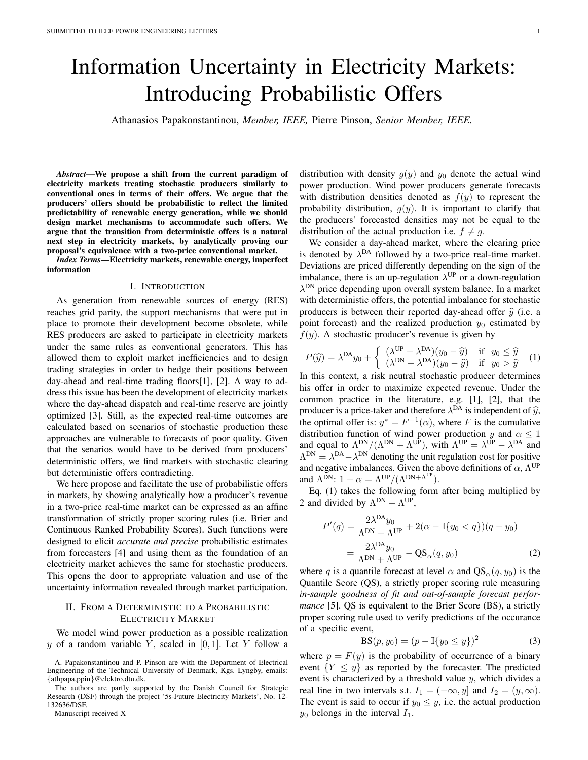# Information Uncertainty in Electricity Markets: Introducing Probabilistic Offers

Athanasios Papakonstantinou, *Member, IEEE,* Pierre Pinson, *Senior Member, IEEE.*

*Abstract*—We propose a shift from the current paradigm of electricity markets treating stochastic producers similarly to conventional ones in terms of their offers. We argue that the producers' offers should be probabilistic to reflect the limited predictability of renewable energy generation, while we should design market mechanisms to accommodate such offers. We argue that the transition from deterministic offers is a natural next step in electricity markets, by analytically proving our proposal's equivalence with a two-price conventional market.

*Index Terms*—Electricity markets, renewable energy, imperfect information

#### I. INTRODUCTION

As generation from renewable sources of energy (RES) reaches grid parity, the support mechanisms that were put in place to promote their development become obsolete, while RES producers are asked to participate in electricity markets under the same rules as conventional generators. This has allowed them to exploit market inefficiencies and to design trading strategies in order to hedge their positions between day-ahead and real-time trading floors[1], [2]. A way to address this issue has been the development of electricity markets where the day-ahead dispatch and real-time reserve are jointly optimized [3]. Still, as the expected real-time outcomes are calculated based on scenarios of stochastic production these approaches are vulnerable to forecasts of poor quality. Given that the senarios would have to be derived from producers' deterministic offers, we find markets with stochastic clearing but deterministic offers contradicting.

We here propose and facilitate the use of probabilistic offers in markets, by showing analytically how a producer's revenue in a two-price real-time market can be expressed as an affine transformation of strictly proper scoring rules (i.e. Brier and Continuous Ranked Probability Scores). Such functions were designed to elicit *accurate and precise* probabilistic estimates from forecasters [4] and using them as the foundation of an electricity market achieves the same for stochastic producers. This opens the door to appropriate valuation and use of the uncertainty information revealed through market participation.

## II. FROM A DETERMINISTIC TO A PROBABILISTIC ELECTRICITY MARKET

We model wind power production as a possible realization y of a random variable Y, scaled in  $[0, 1]$ . Let Y follow a

distribution with density  $g(y)$  and  $y_0$  denote the actual wind power production. Wind power producers generate forecasts with distribution densities denoted as  $f(y)$  to represent the probability distribution,  $g(y)$ . It is important to clarify that the producers' forecasted densities may not be equal to the distribution of the actual production i.e.  $f \neq g$ .

We consider a day-ahead market, where the clearing price is denoted by  $\lambda^{DA}$  followed by a two-price real-time market. Deviations are priced differently depending on the sign of the imbalance, there is an up-regulation  $\lambda^{UP}$  or a down-regulation  $\lambda^{\text{DN}}$  price depending upon overall system balance. In a market with deterministic offers, the potential imbalance for stochastic producers is between their reported day-ahead offer  $\hat{y}$  (i.e. a point forecast) and the realized production  $y_0$  estimated by  $f(y)$ . A stochastic producer's revenue is given by

$$
P(\widehat{y}) = \lambda^{DA} y_0 + \begin{cases} (\lambda^{UP} - \lambda^{DA})(y_0 - \widehat{y}) & \text{if } y_0 \le \widehat{y} \\ (\lambda^{DN} - \lambda^{DA})(y_0 - \widehat{y}) & \text{if } y_0 > \widehat{y} \end{cases}
$$
  
In this context, a risk neutral stochastic producer determines

his offer in order to maximize expected revenue. Under the common practice in the literature, e.g. [1], [2], that the producer is a price-taker and therefore  $\lambda^{DA}$  is independent of  $\hat{y}$ ,<br>the optimal offer is:  $u^* = F^{-1}(\alpha)$ , where  $F$  is the cumulative the optimal offer is:  $y^* = F^{-1}(\alpha)$ , where F is the cumulative distribution function of wind power production y and  $\alpha \leq 1$ and equal to  $\Lambda^{DN}/(\Lambda^{DN} + \Lambda^{UP})$ , with  $\Lambda^{UP} = \lambda^{UP} - \lambda^{DA}$  and  $\Lambda^{DN} = \lambda^{DA} - \lambda^{DN}$  denoting the unit regulation cost for positive and negative imbalances. Given the above definitions of  $\alpha$ ,  $\Lambda^{UP}$ and  $\Lambda^{\text{DN}}$ :  $1 - \alpha = \Lambda^{\text{UP}} / (\Lambda^{\text{DN} + \Lambda^{\text{UP}}})$ .

Eq. (1) takes the following form after being multiplied by 2 and divided by  $\Lambda^{DN} + \Lambda^{UP}$ ,

$$
P'(q) = \frac{2\lambda^{DA}y_0}{\Lambda^{DN} + \Lambda^{UP}} + 2(\alpha - \mathbb{I}\{y_0 < q\})(q - y_0)
$$
\n
$$
= \frac{2\lambda^{DA}y_0}{\Lambda^{DN} + \Lambda^{UP}} - \mathbf{QS}_{\alpha}(q, y_0) \tag{2}
$$

where q is a quantile forecast at level  $\alpha$  and  $QS_{\alpha}(q, y_0)$  is the Quantile Score (QS), a strictly proper scoring rule measuring *in-sample goodness of fit and out-of-sample forecast performance* [5]. QS is equivalent to the Brier Score (BS), a strictly proper scoring rule used to verify predictions of the occurance of a specific event,

$$
BS(p, y_0) = (p - \mathbb{I}\{y_0 \le y\})^2
$$
 (3)

where  $p = F(y)$  is the probability of occurrence of a binary event  ${Y \leq y}$  as reported by the forecaster. The predicted event is characterized by a threshold value  $y$ , which divides a real line in two intervals s.t.  $I_1 = (-\infty, y]$  and  $I_2 = (y, \infty)$ . The event is said to occur if  $y_0 \leq y$ , i.e. the actual production  $y_0$  belongs in the interval  $I_1$ .

A. Papakonstantinou and P. Pinson are with the Department of Electrical Engineering of the Technical University of Denmark, Kgs. Lyngby, emails: {athpapa,ppin}@elektro.dtu.dk.

The authors are partly supported by the Danish Council for Strategic Research (DSF) through the project '5s-Future Electricity Markets', No. 12- 132636/DSF.

Manuscript received X